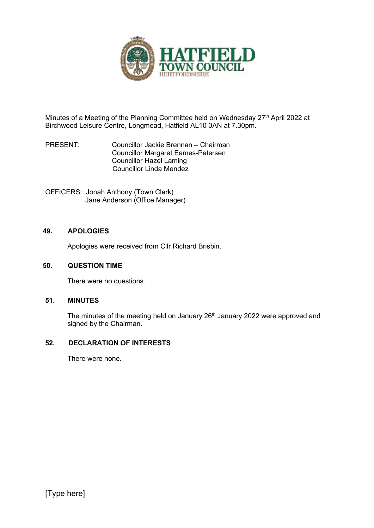

Minutes of a Meeting of the Planning Committee held on Wednesday 27<sup>th</sup> April 2022 at Birchwood Leisure Centre, Longmead, Hatfield AL10 0AN at 7.30pm.

PRESENT: Councillor Jackie Brennan – Chairman Councillor Margaret Eames-Petersen Councillor Hazel Laming Councillor Linda Mendez

OFFICERS: Jonah Anthony (Town Clerk) Jane Anderson (Office Manager)

### **49. APOLOGIES**

Apologies were received from Cllr Richard Brisbin.

#### **50. QUESTION TIME**

There were no questions.

### **51. MINUTES**

The minutes of the meeting held on January 26<sup>th</sup> January 2022 were approved and signed by the Chairman.

### **52. DECLARATION OF INTERESTS**

There were none.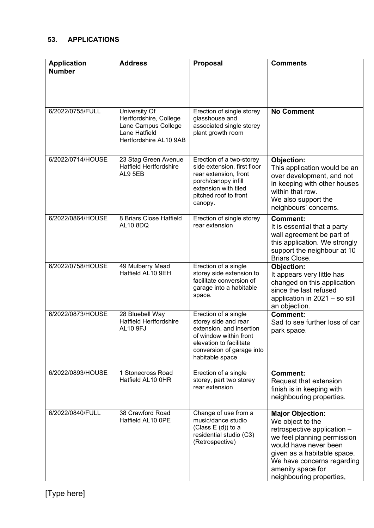## **53. APPLICATIONS**

| <b>Application</b><br><b>Number</b> | <b>Address</b>                                                                                            | Proposal                                                                                                                                                                      | <b>Comments</b>                                                                                                                                                                                                                                  |
|-------------------------------------|-----------------------------------------------------------------------------------------------------------|-------------------------------------------------------------------------------------------------------------------------------------------------------------------------------|--------------------------------------------------------------------------------------------------------------------------------------------------------------------------------------------------------------------------------------------------|
| 6/2022/0755/FULL                    | University Of<br>Hertfordshire, College<br>Lane Campus College<br>Lane Hatfield<br>Hertfordshire AL10 9AB | Erection of single storey<br>glasshouse and<br>associated single storey<br>plant growth room                                                                                  | <b>No Comment</b>                                                                                                                                                                                                                                |
| 6/2022/0714/HOUSE                   | 23 Stag Green Avenue<br><b>Hatfield Hertfordshire</b><br>AL9 5EB                                          | Erection of a two-storey<br>side extension, first floor<br>rear extension, front<br>porch/canopy infill<br>extension with tiled<br>pitched roof to front<br>canopy.           | Objection:<br>This application would be an<br>over development, and not<br>in keeping with other houses<br>within that row.<br>We also support the<br>neighbours' concerns.                                                                      |
| 6/2022/0864/HOUSE                   | 8 Briars Close Hatfield<br><b>AL10 8DQ</b>                                                                | Erection of single storey<br>rear extension                                                                                                                                   | <b>Comment:</b><br>It is essential that a party<br>wall agreement be part of<br>this application. We strongly<br>support the neighbour at 10<br><b>Briars Close.</b>                                                                             |
| 6/2022/0758/HOUSE                   | 49 Mulberry Mead<br>Hatfield AL10 9EH                                                                     | Erection of a single<br>storey side extension to<br>facilitate conversion of<br>garage into a habitable<br>space.                                                             | Objection:<br>It appears very little has<br>changed on this application<br>since the last refused<br>application in 2021 - so still<br>an objection.                                                                                             |
| 6/2022/0873/HOUSE                   | 28 Bluebell Way<br><b>Hatfield Hertfordshire</b><br><b>AL10 9FJ</b>                                       | Erection of a single<br>storey side and rear<br>extension, and insertion<br>of window within front<br>elevation to facilitate<br>conversion of garage into<br>habitable space | <b>Comment:</b><br>Sad to see further loss of car<br>park space.                                                                                                                                                                                 |
| 6/2022/0893/HOUSE                   | 1 Stonecross Road<br>Hatfield AL10 0HR                                                                    | Erection of a single<br>storey, part two storey<br>rear extension                                                                                                             | <b>Comment:</b><br>Request that extension<br>finish is in keeping with<br>neighbouring properties.                                                                                                                                               |
| 6/2022/0840/FULL                    | 38 Crawford Road<br>Hatfield AL10 OPE                                                                     | Change of use from a<br>music/dance studio<br>(Class $E(d)$ ) to a<br>residential studio (C3)<br>(Retrospective)                                                              | <b>Major Objection:</b><br>We object to the<br>retrospective application -<br>we feel planning permission<br>would have never been<br>given as a habitable space.<br>We have concerns regarding<br>amenity space for<br>neighbouring properties, |